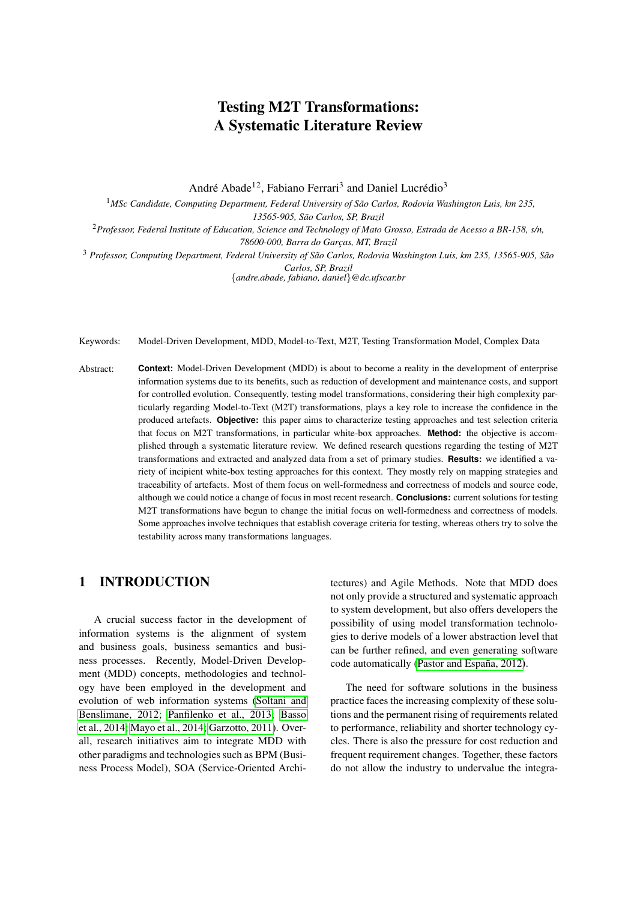# Testing M2T Transformations: A Systematic Literature Review

André Abade<sup>12</sup>, Fabiano Ferrari<sup>3</sup> and Daniel Lucrédio<sup>3</sup>

<sup>1</sup>MSc Candidate, Computing Department, Federal University of São Carlos, Rodovia Washington Luis, km 235, *13565-905, Sao Carlos, SP, Brazil ˜* <sup>2</sup>*Professor, Federal Institute of Education, Science and Technology of Mato Grosso, Estrada de Acesso a BR-158, s/n, 78600-000, Barra do Garc¸as, MT, Brazil* <sup>3</sup> *Professor, Computing Department, Federal University of Sao Carlos, Rodovia Washington Luis, km 235, 13565-905, S ˜ ao˜*

*Carlos, SP, Brazil* {*andre.abade, fabiano, daniel*}*@dc.ufscar.br*

Keywords: Model-Driven Development, MDD, Model-to-Text, M2T, Testing Transformation Model, Complex Data

Abstract: **Context:** Model-Driven Development (MDD) is about to become a reality in the development of enterprise information systems due to its benefits, such as reduction of development and maintenance costs, and support for controlled evolution. Consequently, testing model transformations, considering their high complexity particularly regarding Model-to-Text (M2T) transformations, plays a key role to increase the confidence in the produced artefacts. **Objective:** this paper aims to characterize testing approaches and test selection criteria that focus on M2T transformations, in particular white-box approaches. **Method:** the objective is accomplished through a systematic literature review. We defined research questions regarding the testing of M2T transformations and extracted and analyzed data from a set of primary studies. **Results:** we identified a variety of incipient white-box testing approaches for this context. They mostly rely on mapping strategies and traceability of artefacts. Most of them focus on well-formedness and correctness of models and source code, although we could notice a change of focus in most recent research. **Conclusions:** current solutions for testing M2T transformations have begun to change the initial focus on well-formedness and correctness of models. Some approaches involve techniques that establish coverage criteria for testing, whereas others try to solve the testability across many transformations languages.

# 1 INTRODUCTION

A crucial success factor in the development of information systems is the alignment of system and business goals, business semantics and business processes. Recently, Model-Driven Development (MDD) concepts, methodologies and technology have been employed in the development and evolution of web information systems [\(Soltani and](#page-11-0) [Benslimane, 2012;](#page-11-0) [Panfilenko et al., 2013;](#page-11-1) [Basso](#page-10-0) [et al., 2014;](#page-10-0) [Mayo et al., 2014;](#page-11-2) [Garzotto, 2011\)](#page-10-1). Overall, research initiatives aim to integrate MDD with other paradigms and technologies such as BPM (Business Process Model), SOA (Service-Oriented Archi-

tectures) and Agile Methods. Note that MDD does not only provide a structured and systematic approach to system development, but also offers developers the possibility of using model transformation technologies to derive models of a lower abstraction level that can be further refined, and even generating software code automatically (Pastor and España, 2012).

The need for software solutions in the business practice faces the increasing complexity of these solutions and the permanent rising of requirements related to performance, reliability and shorter technology cycles. There is also the pressure for cost reduction and frequent requirement changes. Together, these factors do not allow the industry to undervalue the integra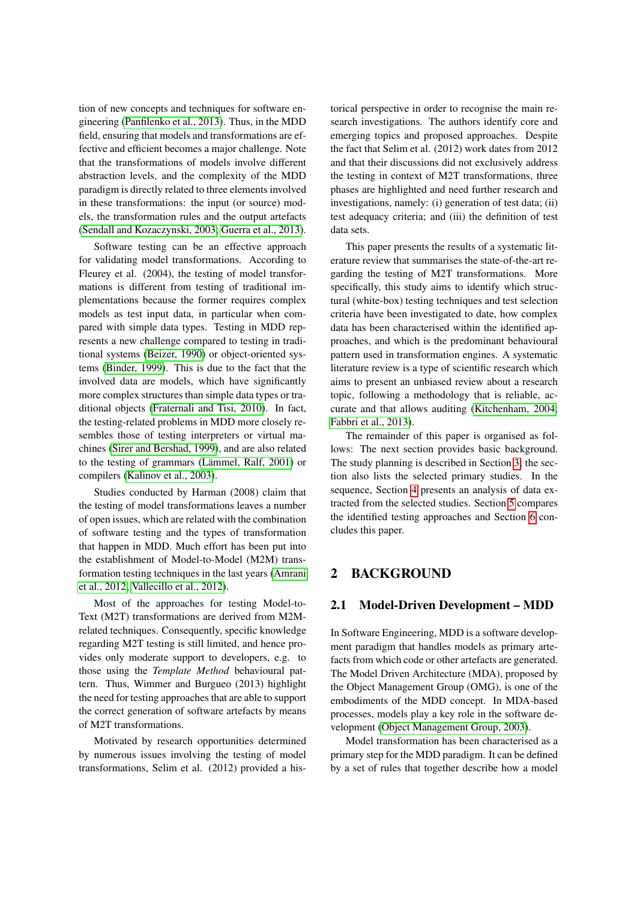tion of new concepts and techniques for software engineering [\(Panfilenko et al., 2013\)](#page-11-1). Thus, in the MDD field, ensuring that models and transformations are effective and efficient becomes a major challenge. Note that the transformations of models involve different abstraction levels, and the complexity of the MDD paradigm is directly related to three elements involved in these transformations: the input (or source) models, the transformation rules and the output artefacts [\(Sendall and Kozaczynski, 2003;](#page-11-4) [Guerra et al., 2013\)](#page-10-2).

Software testing can be an effective approach for validating model transformations. According to Fleurey et al. (2004), the testing of model transformations is different from testing of traditional implementations because the former requires complex models as test input data, in particular when compared with simple data types. Testing in MDD represents a new challenge compared to testing in traditional systems [\(Beizer, 1990\)](#page-10-3) or object-oriented systems [\(Binder, 1999\)](#page-10-4). This is due to the fact that the involved data are models, which have significantly more complex structures than simple data types or traditional objects [\(Fraternali and Tisi, 2010\)](#page-10-5). In fact, the testing-related problems in MDD more closely resembles those of testing interpreters or virtual machines [\(Sirer and Bershad, 1999\)](#page-11-5), and are also related to the testing of grammars (Lämmel, Ralf, 2001) or compilers [\(Kalinov et al., 2003\)](#page-10-6).

Studies conducted by Harman (2008) claim that the testing of model transformations leaves a number of open issues, which are related with the combination of software testing and the types of transformation that happen in MDD. Much effort has been put into the establishment of Model-to-Model (M2M) transformation testing techniques in the last years [\(Amrani](#page-10-7) [et al., 2012;](#page-10-7) [Vallecillo et al., 2012\)](#page-11-7).

Most of the approaches for testing Model-to-Text (M2T) transformations are derived from M2Mrelated techniques. Consequently, specific knowledge regarding M2T testing is still limited, and hence provides only moderate support to developers, e.g. to those using the *Template Method* behavioural pattern. Thus, Wimmer and Burgueo (2013) highlight the need for testing approaches that are able to support the correct generation of software artefacts by means of M2T transformations.

Motivated by research opportunities determined by numerous issues involving the testing of model transformations, Selim et al. (2012) provided a historical perspective in order to recognise the main research investigations. The authors identify core and emerging topics and proposed approaches. Despite the fact that Selim et al. (2012) work dates from 2012 and that their discussions did not exclusively address the testing in context of M2T transformations, three phases are highlighted and need further research and investigations, namely: (i) generation of test data; (ii) test adequacy criteria; and (iii) the definition of test data sets.

This paper presents the results of a systematic literature review that summarises the state-of-the-art regarding the testing of M2T transformations. More specifically, this study aims to identify which structural (white-box) testing techniques and test selection criteria have been investigated to date, how complex data has been characterised within the identified approaches, and which is the predominant behavioural pattern used in transformation engines. A systematic literature review is a type of scientific research which aims to present an unbiased review about a research topic, following a methodology that is reliable, accurate and that allows auditing [\(Kitchenham, 2004;](#page-10-8) [Fabbri et al., 2013\)](#page-10-9).

The remainder of this paper is organised as follows: The next section provides basic background. The study planning is described in Section [3;](#page-2-0) the section also lists the selected primary studies. In the sequence, Section [4](#page-5-0) presents an analysis of data extracted from the selected studies. Section [5](#page-6-0) compares the identified testing approaches and Section [6](#page-9-0) concludes this paper.

# 2 BACKGROUND

## 2.1 Model-Driven Development – MDD

In Software Engineering, MDD is a software development paradigm that handles models as primary artefacts from which code or other artefacts are generated. The Model Driven Architecture (MDA), proposed by the Object Management Group (OMG), is one of the embodiments of the MDD concept. In MDA-based processes, models play a key role in the software development [\(Object Management Group, 2003\)](#page-11-8).

Model transformation has been characterised as a primary step for the MDD paradigm. It can be defined by a set of rules that together describe how a model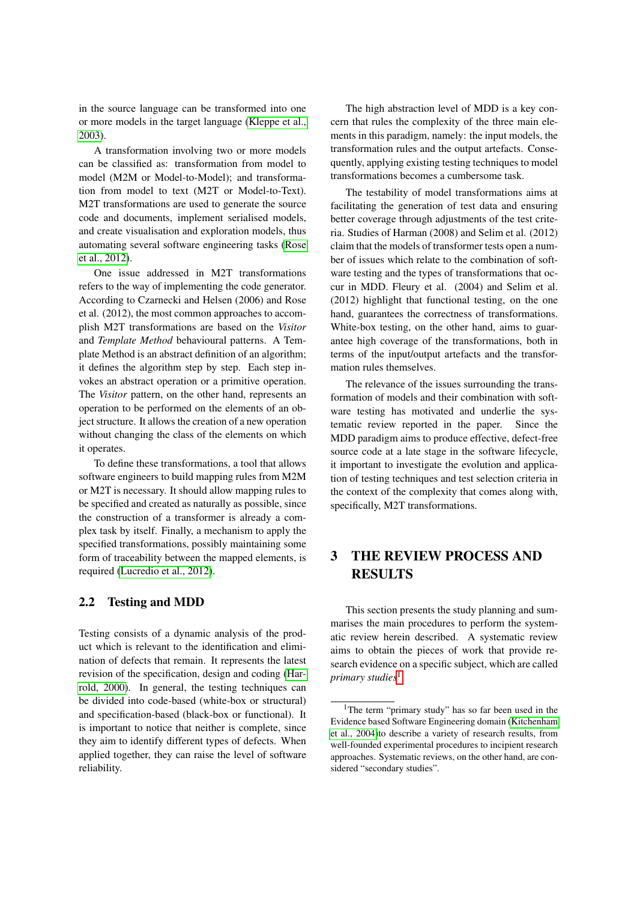in the source language can be transformed into one or more models in the target language [\(Kleppe et al.,](#page-10-10) [2003\)](#page-10-10).

A transformation involving two or more models can be classified as: transformation from model to model (M2M or Model-to-Model); and transformation from model to text (M2T or Model-to-Text). M2T transformations are used to generate the source code and documents, implement serialised models, and create visualisation and exploration models, thus automating several software engineering tasks [\(Rose](#page-11-9) [et al., 2012\)](#page-11-9).

One issue addressed in M2T transformations refers to the way of implementing the code generator. According to Czarnecki and Helsen (2006) and Rose et al. (2012), the most common approaches to accomplish M2T transformations are based on the *Visitor* and *Template Method* behavioural patterns. A Template Method is an abstract definition of an algorithm; it defines the algorithm step by step. Each step invokes an abstract operation or a primitive operation. The *Visitor* pattern, on the other hand, represents an operation to be performed on the elements of an object structure. It allows the creation of a new operation without changing the class of the elements on which it operates.

To define these transformations, a tool that allows software engineers to build mapping rules from M2M or M2T is necessary. It should allow mapping rules to be specified and created as naturally as possible, since the construction of a transformer is already a complex task by itself. Finally, a mechanism to apply the specified transformations, possibly maintaining some form of traceability between the mapped elements, is required [\(Lucredio et al., 2012\)](#page-11-10).

## 2.2 Testing and MDD

Testing consists of a dynamic analysis of the product which is relevant to the identification and elimination of defects that remain. It represents the latest revision of the specification, design and coding [\(Har](#page-10-11)[rold, 2000\)](#page-10-11). In general, the testing techniques can be divided into code-based (white-box or structural) and specification-based (black-box or functional). It is important to notice that neither is complete, since they aim to identify different types of defects. When applied together, they can raise the level of software reliability.

The high abstraction level of MDD is a key concern that rules the complexity of the three main elements in this paradigm, namely: the input models, the transformation rules and the output artefacts. Consequently, applying existing testing techniques to model transformations becomes a cumbersome task.

The testability of model transformations aims at facilitating the generation of test data and ensuring better coverage through adjustments of the test criteria. Studies of Harman (2008) and Selim et al. (2012) claim that the models of transformer tests open a number of issues which relate to the combination of software testing and the types of transformations that occur in MDD. Fleury et al. (2004) and Selim et al. (2012) highlight that functional testing, on the one hand, guarantees the correctness of transformations. White-box testing, on the other hand, aims to guarantee high coverage of the transformations, both in terms of the input/output artefacts and the transformation rules themselves.

The relevance of the issues surrounding the transformation of models and their combination with software testing has motivated and underlie the systematic review reported in the paper. Since the MDD paradigm aims to produce effective, defect-free source code at a late stage in the software lifecycle, it important to investigate the evolution and application of testing techniques and test selection criteria in the context of the complexity that comes along with, specifically, M2T transformations.

# <span id="page-2-0"></span>3 THE REVIEW PROCESS AND RESULTS

This section presents the study planning and summarises the main procedures to perform the systematic review herein described. A systematic review aims to obtain the pieces of work that provide research evidence on a specific subject, which are called *primary studies*[1](#page-2-1) .

<span id="page-2-1"></span><sup>&</sup>lt;sup>1</sup>The term "primary study" has so far been used in the Evidence based Software Engineering domain [\(Kitchenham](#page-10-12) [et al., 2004\)](#page-10-12)to describe a variety of research results, from well-founded experimental procedures to incipient research approaches. Systematic reviews, on the other hand, are considered "secondary studies".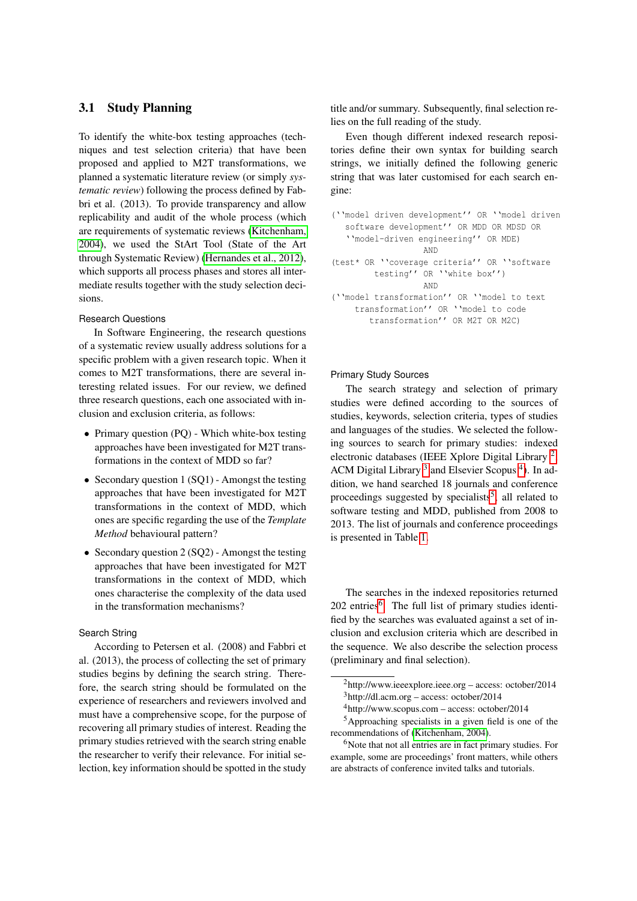## 3.1 Study Planning

To identify the white-box testing approaches (techniques and test selection criteria) that have been proposed and applied to M2T transformations, we planned a systematic literature review (or simply *systematic review*) following the process defined by Fabbri et al. (2013). To provide transparency and allow replicability and audit of the whole process (which are requirements of systematic reviews [\(Kitchenham,](#page-10-8) [2004\)](#page-10-8), we used the StArt Tool (State of the Art through Systematic Review) [\(Hernandes et al., 2012\)](#page-10-13), which supports all process phases and stores all intermediate results together with the study selection decisions.

#### Research Questions

In Software Engineering, the research questions of a systematic review usually address solutions for a specific problem with a given research topic. When it comes to M2T transformations, there are several interesting related issues. For our review, we defined three research questions, each one associated with inclusion and exclusion criteria, as follows:

- Primary question (PQ) Which white-box testing approaches have been investigated for M2T transformations in the context of MDD so far?
- Secondary question 1 (SQ1) Amongst the testing approaches that have been investigated for M2T transformations in the context of MDD, which ones are specific regarding the use of the *Template Method* behavioural pattern?
- Secondary question 2 (SQ2) Amongst the testing approaches that have been investigated for M2T transformations in the context of MDD, which ones characterise the complexity of the data used in the transformation mechanisms?

## Search String

According to Petersen et al. (2008) and Fabbri et al. (2013), the process of collecting the set of primary studies begins by defining the search string. Therefore, the search string should be formulated on the experience of researchers and reviewers involved and must have a comprehensive scope, for the purpose of recovering all primary studies of interest. Reading the primary studies retrieved with the search string enable the researcher to verify their relevance. For initial selection, key information should be spotted in the study

title and/or summary. Subsequently, final selection relies on the full reading of the study.

Even though different indexed research repositories define their own syntax for building search strings, we initially defined the following generic string that was later customised for each search engine:

```
(''model driven development'' OR ''model driven
   software development'' OR MDD OR MDSD OR
   ''model-driven engineering'' OR MDE)
                  AND
(test* OR ''coverage criteria'' OR ''software
        testing'' OR ''white box'')
                  AND
(''model transformation'' OR ''model to text
    transformation'' OR ''model to code
       transformation'' OR M2T OR M2C)
```
#### Primary Study Sources

The search strategy and selection of primary studies were defined according to the sources of studies, keywords, selection criteria, types of studies and languages of the studies. We selected the following sources to search for primary studies: indexed electronic databases (IEEE Xplore Digital Library<sup>[2](#page-3-0)</sup>, ACM Digital Library<sup>[3](#page-3-1)</sup> and Elsevier Scopus<sup>[4](#page-3-2)</sup>). In addition, we hand searched 18 journals and conference proceedings suggested by specialists<sup>[5](#page-3-3)</sup>, all related to software testing and MDD, published from 2008 to 2013. The list of journals and conference proceedings is presented in Table [1.](#page-4-0)

The searches in the indexed repositories returned 202 entries<sup>[6](#page-3-4)</sup>. The full list of primary studies identified by the searches was evaluated against a set of inclusion and exclusion criteria which are described in the sequence. We also describe the selection process (preliminary and final selection).

<span id="page-3-0"></span><sup>2</sup>http://www.ieeexplore.ieee.org – access: october/2014

<span id="page-3-1"></span> $3$ http://dl.acm.org – access: october/2014

<span id="page-3-3"></span><span id="page-3-2"></span> $4$ http://www.scopus.com – access: october/2014

<sup>5</sup>Approaching specialists in a given field is one of the recommendations of [\(Kitchenham, 2004\)](#page-10-8).

<span id="page-3-4"></span> $6$ Note that not all entries are in fact primary studies. For example, some are proceedings' front matters, while others are abstracts of conference invited talks and tutorials.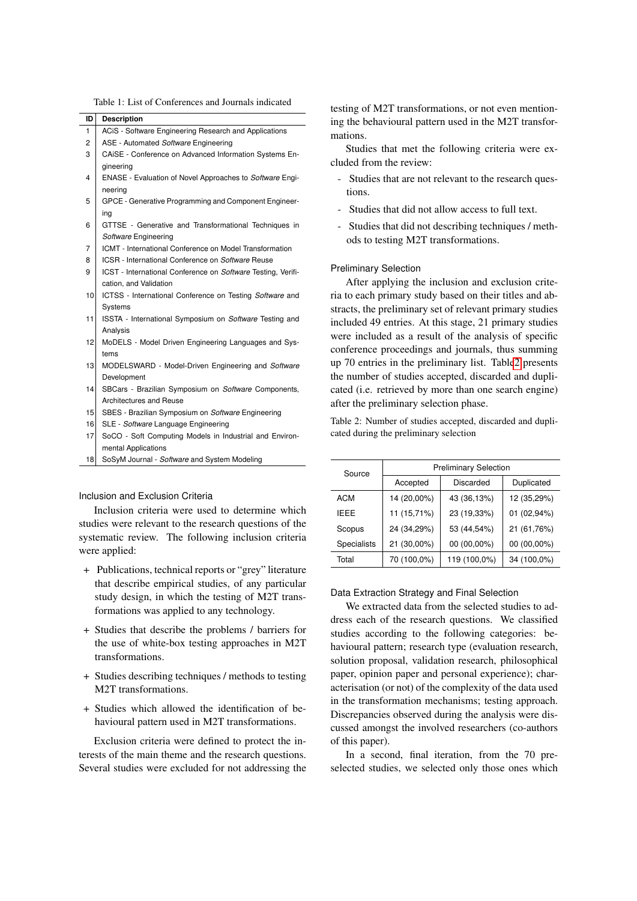<span id="page-4-0"></span>

| ID              | <b>Description</b>                                           |  |
|-----------------|--------------------------------------------------------------|--|
| 1               | ACiS - Software Engineering Research and Applications        |  |
| 2               | ASE - Automated Software Engineering                         |  |
| 3               | CAISE - Conference on Advanced Information Systems En-       |  |
|                 | gineering                                                    |  |
| 4               | ENASE - Evaluation of Novel Approaches to Software Engi-     |  |
|                 | neering                                                      |  |
| 5               | GPCE - Generative Programming and Component Engineer-        |  |
|                 | ing                                                          |  |
| 6               | GTTSE - Generative and Transformational Techniques in        |  |
|                 | Software Engineering                                         |  |
| 7               | ICMT - International Conference on Model Transformation      |  |
| 8               | ICSR - International Conference on Software Reuse            |  |
| 9               | ICST - International Conference on Software Testing, Verifi- |  |
|                 | cation, and Validation                                       |  |
| 10              | ICTSS - International Conference on Testing Software and     |  |
|                 | Systems                                                      |  |
| 11              | ISSTA - International Symposium on Software Testing and      |  |
|                 | Analysis                                                     |  |
| 12              | MoDELS - Model Driven Engineering Languages and Sys-         |  |
|                 | tems                                                         |  |
| 13              | MODELSWARD - Model-Driven Engineering and Software           |  |
|                 | Development                                                  |  |
| 14              | SBCars - Brazilian Symposium on Software Components,         |  |
|                 | Architectures and Reuse                                      |  |
| 15              | SBES - Brazilian Symposium on Software Engineering           |  |
| 16 <sup>1</sup> | SLE - Software Language Engineering                          |  |
| 17 <sup>1</sup> | SoCO - Soft Computing Models in Industrial and Environ-      |  |
|                 | mental Applications                                          |  |
| 18              | SoSyM Journal - Software and System Modeling                 |  |

## Inclusion and Exclusion Criteria

Inclusion criteria were used to determine which studies were relevant to the research questions of the systematic review. The following inclusion criteria were applied:

- + Publications, technical reports or "grey" literature that describe empirical studies, of any particular study design, in which the testing of M2T transformations was applied to any technology.
- + Studies that describe the problems / barriers for the use of white-box testing approaches in M2T transformations.
- + Studies describing techniques / methods to testing M2T transformations.
- + Studies which allowed the identification of behavioural pattern used in M2T transformations.

Exclusion criteria were defined to protect the interests of the main theme and the research questions. Several studies were excluded for not addressing the testing of M2T transformations, or not even mentiong the behavioural pattern used in the M2T transforations.

Studies that met the following criteria were exaded from the review:

- Studies that are not relevant to the research questions.
- Studies that did not allow access to full text.
- Studies that did not describing techniques / methods to testing M2T transformations.

#### eliminary Selection

After applying the inclusion and exclusion criteto each primary study based on their titles and abacts, the preliminary set of relevant primary studies cluded 49 entries. At this stage, 21 primary studies ere included as a result of the analysis of specific nference proceedings and journals, thus summing 70 entries in the preliminary list. Tabl[e2](#page-4-1) presents e number of studies accepted, discarded and duplied (i.e. retrieved by more than one search engine) ter the preliminary selection phase.

<span id="page-4-1"></span>ble 2: Number of studies accepted, discarded and duplicated during the preliminary selection

| Source      | <b>Preliminary Selection</b> |              |             |  |
|-------------|------------------------------|--------------|-------------|--|
|             | Accepted                     | Discarded    | Duplicated  |  |
| ACM         | 14 (20,00%)                  | 43 (36,13%)  | 12 (35,29%) |  |
| IEEE        | 11 (15,71%)                  | 23 (19,33%)  | 01 (02,94%) |  |
| Scopus      | 24 (34,29%)                  | 53 (44,54%)  | 21 (61,76%) |  |
| Specialists | 21 (30,00%)                  | 00 (00,00%)  | 00 (00,00%) |  |
| Total       | 70 (100,0%)                  | 119 (100,0%) | 34 (100,0%) |  |

## Data Extraction Strategy and Final Selection

We extracted data from the selected studies to address each of the research questions. We classified studies according to the following categories: behavioural pattern; research type (evaluation research, solution proposal, validation research, philosophical paper, opinion paper and personal experience); characterisation (or not) of the complexity of the data used in the transformation mechanisms; testing approach. Discrepancies observed during the analysis were discussed amongst the involved researchers (co-authors of this paper).

In a second, final iteration, from the 70 preselected studies, we selected only those ones which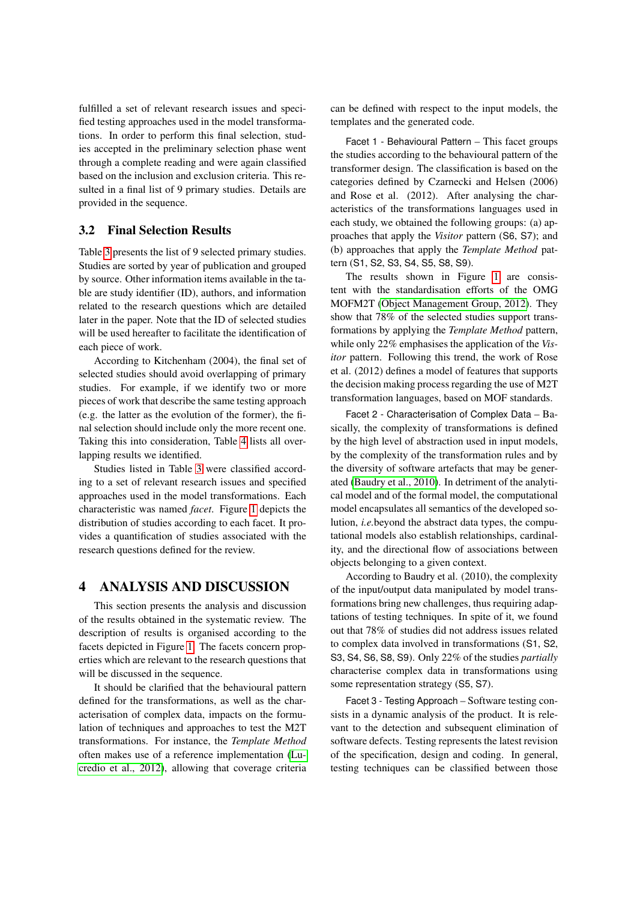fulfilled a set of relevant research issues and specified testing approaches used in the model transformations. In order to perform this final selection, studies accepted in the preliminary selection phase went through a complete reading and were again classified based on the inclusion and exclusion criteria. This resulted in a final list of 9 primary studies. Details are provided in the sequence.

## 3.2 Final Selection Results

Table [3](#page-6-1) presents the list of 9 selected primary studies. Studies are sorted by year of publication and grouped by source. Other information items available in the table are study identifier (ID), authors, and information related to the research questions which are detailed later in the paper. Note that the ID of selected studies will be used hereafter to facilitate the identification of each piece of work.

According to Kitchenham (2004), the final set of selected studies should avoid overlapping of primary studies. For example, if we identify two or more pieces of work that describe the same testing approach (e.g. the latter as the evolution of the former), the final selection should include only the more recent one. Taking this into consideration, Table [4](#page-6-2) lists all overlapping results we identified.

Studies listed in Table [3](#page-6-1) were classified according to a set of relevant research issues and specified approaches used in the model transformations. Each characteristic was named *facet*. Figure [1](#page-7-0) depicts the distribution of studies according to each facet. It provides a quantification of studies associated with the research questions defined for the review.

## <span id="page-5-0"></span>4 ANALYSIS AND DISCUSSION

This section presents the analysis and discussion of the results obtained in the systematic review. The description of results is organised according to the facets depicted in Figure [1.](#page-7-0) The facets concern properties which are relevant to the research questions that will be discussed in the sequence.

It should be clarified that the behavioural pattern defined for the transformations, as well as the characterisation of complex data, impacts on the formulation of techniques and approaches to test the M2T transformations. For instance, the *Template Method* often makes use of a reference implementation [\(Lu](#page-11-10)[credio et al., 2012\)](#page-11-10), allowing that coverage criteria can be defined with respect to the input models, the templates and the generated code.

Facet 1 - Behavioural Pattern – This facet groups the studies according to the behavioural pattern of the transformer design. The classification is based on the categories defined by Czarnecki and Helsen (2006) and Rose et al. (2012). After analysing the characteristics of the transformations languages used in each study, we obtained the following groups: (a) approaches that apply the *Visitor* pattern (S6, S7); and (b) approaches that apply the *Template Method* pattern (S1, S2, S3, S4, S5, S8, S9).

The results shown in Figure [1](#page-7-0) are consistent with the standardisation efforts of the OMG MOFM2T [\(Object Management Group, 2012\)](#page-11-11). They show that 78% of the selected studies support transformations by applying the *Template Method* pattern, while only 22% emphasises the application of the *Visitor* pattern. Following this trend, the work of Rose et al. (2012) defines a model of features that supports the decision making process regarding the use of M2T transformation languages, based on MOF standards.

Facet 2 - Characterisation of Complex Data – Basically, the complexity of transformations is defined by the high level of abstraction used in input models, by the complexity of the transformation rules and by the diversity of software artefacts that may be generated [\(Baudry et al., 2010\)](#page-10-14). In detriment of the analytical model and of the formal model, the computational model encapsulates all semantics of the developed solution, *i.e.*beyond the abstract data types, the computational models also establish relationships, cardinality, and the directional flow of associations between objects belonging to a given context.

According to Baudry et al. (2010), the complexity of the input/output data manipulated by model transformations bring new challenges, thus requiring adaptations of testing techniques. In spite of it, we found out that 78% of studies did not address issues related to complex data involved in transformations (S1, S2, S3, S4, S6, S8, S9). Only 22% of the studies *partially* characterise complex data in transformations using some representation strategy (S5, S7).

Facet 3 - Testing Approach – Software testing consists in a dynamic analysis of the product. It is relevant to the detection and subsequent elimination of software defects. Testing represents the latest revision of the specification, design and coding. In general, testing techniques can be classified between those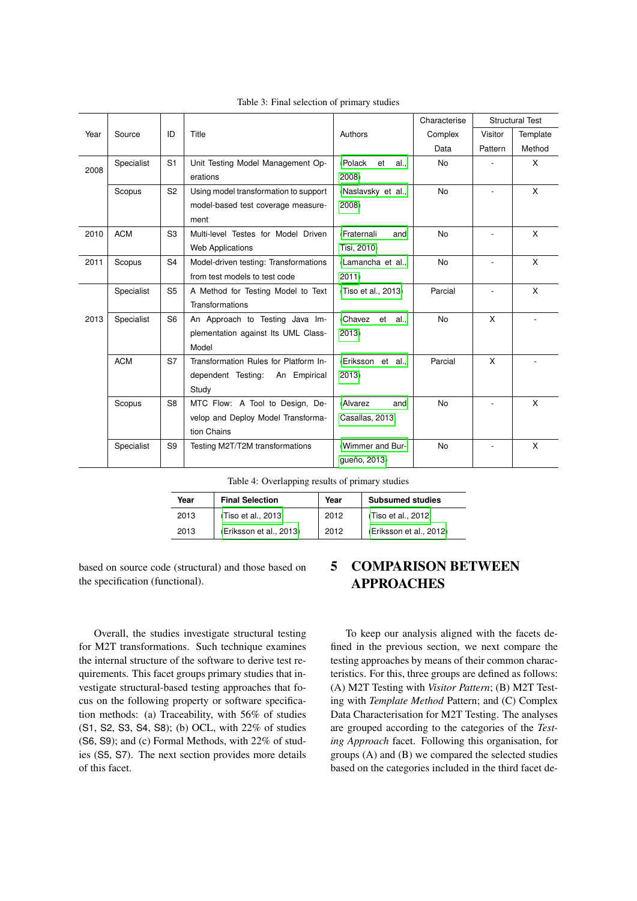<span id="page-6-1"></span>

|      |            |                |                                       |                       | Characterise   |                | <b>Structural Test</b> |
|------|------------|----------------|---------------------------------------|-----------------------|----------------|----------------|------------------------|
| Year | Source     | ID             | Title                                 | Authors               | Complex        | Visitor        | Template               |
|      |            |                |                                       |                       | Data           | Pattern        | Method                 |
| 2008 | Specialist | S <sub>1</sub> | Unit Testing Model Management Op-     | (Polack<br>et<br>al., | <b>No</b>      |                | X                      |
|      |            |                | erations                              | 2008)                 |                |                |                        |
|      | Scopus     | S <sub>2</sub> | Using model transformation to support | (Naslavsky et al.,    | <b>No</b>      |                | $\mathsf{x}$           |
|      |            |                | model-based test coverage measure-    | 2008)                 |                |                |                        |
|      |            |                | ment                                  |                       |                |                |                        |
| 2010 | <b>ACM</b> | S <sub>3</sub> | Multi-level Testes for Model Driven   | (Fraternali<br>and    | <b>No</b>      |                | X                      |
|      |            |                | <b>Web Applications</b>               | Tisi, 2010)           |                |                |                        |
| 2011 | Scopus     | S <sub>4</sub> | Model-driven testing: Transformations | (Lamancha et al.,     | N <sub>o</sub> |                | X                      |
|      |            |                | from test models to test code         | 2011)                 |                |                |                        |
|      | Specialist | S <sub>5</sub> | A Method for Testing Model to Text    | (Tiso et al., 2013)   | Parcial        |                | X                      |
|      |            |                | Transformations                       |                       |                |                |                        |
| 2013 | Specialist | S <sub>6</sub> | An Approach to Testing Java Im-       | (Chavez<br>et<br>al., | <b>No</b>      | X              |                        |
|      |            |                | plementation against Its UML Class-   | 2013)                 |                |                |                        |
|      |            |                | Model                                 |                       |                |                |                        |
|      | <b>ACM</b> | S7             | Transformation Rules for Platform In- | (Eriksson et al.,     | Parcial        | X              |                        |
|      |            |                | dependent Testing: An Empirical       | 2013)                 |                |                |                        |
|      |            |                | Study                                 |                       |                |                |                        |
|      | Scopus     | S <sub>8</sub> | MTC Flow: A Tool to Design, De-       | (Alvarez<br>and       | <b>No</b>      |                | X                      |
|      |            |                | velop and Deploy Model Transforma-    | Casallas, 2013)       |                |                |                        |
|      |            |                | tion Chains                           |                       |                |                |                        |
|      | Specialist | S9             | Testing M2T/T2M transformations       | (Wimmer and Bur-      | No             | $\overline{a}$ | X                      |
|      |            |                |                                       | gueño, 2013)          |                |                |                        |

Table 3: Final selection of primary studies

Table 4: Overlapping results of primary studies

| Year | <b>Final Selection</b>  | Year | <b>Subsumed studies</b> |
|------|-------------------------|------|-------------------------|
| 2013 | (Tiso et al., 2013)     | 2012 | (Tiso et al., 2012)     |
| 2013 | (Eriksson et al., 2013) | 2012 | (Eriksson et al., 2012) |

<span id="page-6-2"></span>based on source code (structural) and those based on the specification (functional).

Overall, the studies investigate structural testing for M2T transformations. Such technique examines the internal structure of the software to derive test requirements. This facet groups primary studies that investigate structural-based testing approaches that focus on the following property or software specification methods: (a) Traceability, with 56% of studies (S1, S2, S3, S4, S8); (b) OCL, with 22% of studies (S6, S9); and (c) Formal Methods, with 22% of studies (S5, S7). The next section provides more details of this facet.

# <span id="page-6-0"></span>5 COMPARISON BETWEEN APPROACHES

To keep our analysis aligned with the facets defined in the previous section, we next compare the testing approaches by means of their common characteristics. For this, three groups are defined as follows: (A) M2T Testing with *Visitor Pattern*; (B) M2T Testing with *Template Method* Pattern; and (C) Complex Data Characterisation for M2T Testing. The analyses are grouped according to the categories of the *Testing Approach* facet. Following this organisation, for groups (A) and (B) we compared the selected studies based on the categories included in the third facet de-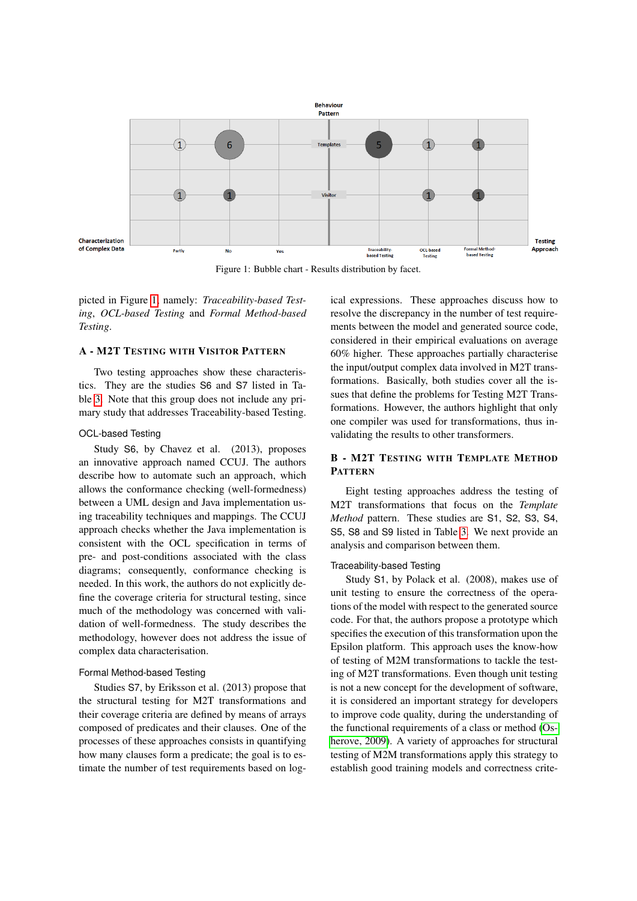<span id="page-7-0"></span>

Figure 1: Bubble chart - Results distribution by facet.

picted in Figure [1,](#page-7-0) namely: *Traceability-based Testing*, *OCL-based Testing* and *Formal Method-based Testing*.

### A - M2T TESTING WITH VISITOR PATTERN

Two testing approaches show these characteristics. They are the studies S6 and S7 listed in Table [3.](#page-6-1) Note that this group does not include any primary study that addresses Traceability-based Testing.

### OCL-based Testing

Study S6, by Chavez et al. (2013), proposes an innovative approach named CCUJ. The authors describe how to automate such an approach, which allows the conformance checking (well-formedness) between a UML design and Java implementation using traceability techniques and mappings. The CCUJ approach checks whether the Java implementation is consistent with the OCL specification in terms of pre- and post-conditions associated with the class diagrams; consequently, conformance checking is needed. In this work, the authors do not explicitly define the coverage criteria for structural testing, since much of the methodology was concerned with validation of well-formedness. The study describes the methodology, however does not address the issue of complex data characterisation.

## Formal Method-based Testing

Studies S7, by Eriksson et al. (2013) propose that the structural testing for M2T transformations and their coverage criteria are defined by means of arrays composed of predicates and their clauses. One of the processes of these approaches consists in quantifying how many clauses form a predicate; the goal is to estimate the number of test requirements based on log-

ical expressions. These approaches discuss how to resolve the discrepancy in the number of test requirements between the model and generated source code, considered in their empirical evaluations on average 60% higher. These approaches partially characterise the input/output complex data involved in M2T transformations. Basically, both studies cover all the issues that define the problems for Testing M2T Transformations. However, the authors highlight that only one compiler was used for transformations, thus invalidating the results to other transformers.

## B - M2T TESTING WITH TEMPLATE METHOD **PATTERN**

Eight testing approaches address the testing of M2T transformations that focus on the *Template Method* pattern. These studies are S1, S2, S3, S4, S5, S8 and S9 listed in Table [3.](#page-6-1) We next provide an analysis and comparison between them.

### Traceability-based Testing

Study S1, by Polack et al. (2008), makes use of unit testing to ensure the correctness of the operations of the model with respect to the generated source code. For that, the authors propose a prototype which specifies the execution of this transformation upon the Epsilon platform. This approach uses the know-how of testing of M2M transformations to tackle the testing of M2T transformations. Even though unit testing is not a new concept for the development of software, it is considered an important strategy for developers to improve code quality, during the understanding of the functional requirements of a class or method [\(Os](#page-11-17)[herove, 2009\)](#page-11-17). A variety of approaches for structural testing of M2M transformations apply this strategy to establish good training models and correctness crite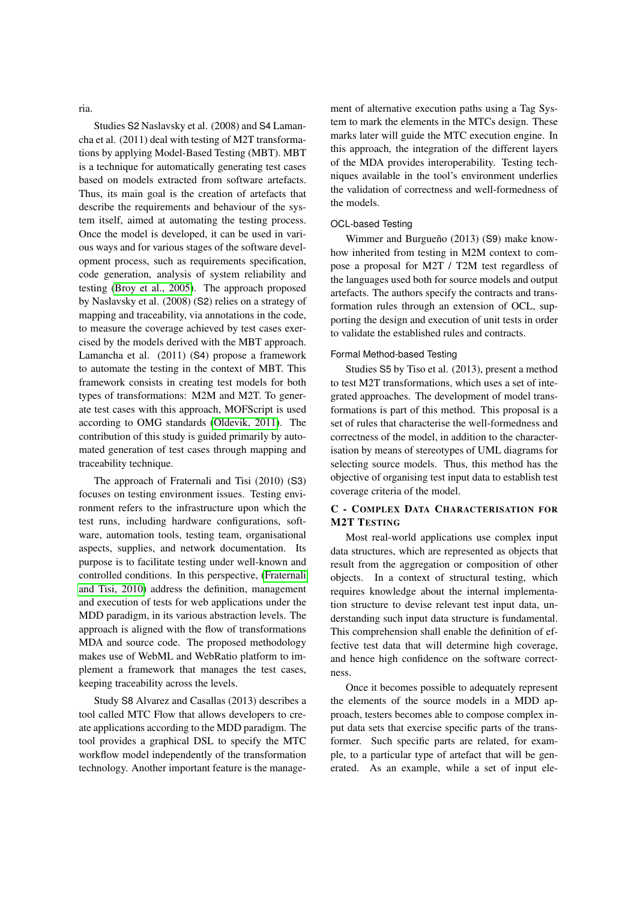ria.

Studies S2 Naslavsky et al. (2008) and S4 Lamancha et al. (2011) deal with testing of M2T transformations by applying Model-Based Testing (MBT). MBT is a technique for automatically generating test cases based on models extracted from software artefacts. Thus, its main goal is the creation of artefacts that describe the requirements and behaviour of the system itself, aimed at automating the testing process. Once the model is developed, it can be used in various ways and for various stages of the software development process, such as requirements specification, code generation, analysis of system reliability and testing [\(Broy et al., 2005\)](#page-10-20). The approach proposed by Naslavsky et al. (2008) (S2) relies on a strategy of mapping and traceability, via annotations in the code, to measure the coverage achieved by test cases exercised by the models derived with the MBT approach. Lamancha et al. (2011) (S4) propose a framework to automate the testing in the context of MBT. This framework consists in creating test models for both types of transformations: M2M and M2T. To generate test cases with this approach, MOFScript is used according to OMG standards [\(Oldevik, 2011\)](#page-11-18). The contribution of this study is guided primarily by automated generation of test cases through mapping and traceability technique.

The approach of Fraternali and Tisi (2010) (S3) focuses on testing environment issues. Testing environment refers to the infrastructure upon which the test runs, including hardware configurations, software, automation tools, testing team, organisational aspects, supplies, and network documentation. Its purpose is to facilitate testing under well-known and controlled conditions. In this perspective, [\(Fraternali](#page-10-5) [and Tisi, 2010\)](#page-10-5) address the definition, management and execution of tests for web applications under the MDD paradigm, in its various abstraction levels. The approach is aligned with the flow of transformations MDA and source code. The proposed methodology makes use of WebML and WebRatio platform to implement a framework that manages the test cases, keeping traceability across the levels.

Study S8 Alvarez and Casallas (2013) describes a tool called MTC Flow that allows developers to create applications according to the MDD paradigm. The tool provides a graphical DSL to specify the MTC workflow model independently of the transformation technology. Another important feature is the manage-

ment of alternative execution paths using a Tag System to mark the elements in the MTCs design. These marks later will guide the MTC execution engine. In this approach, the integration of the different layers of the MDA provides interoperability. Testing techniques available in the tool's environment underlies the validation of correctness and well-formedness of the models.

#### OCL-based Testing

Wimmer and Burgueño (2013) (S9) make knowhow inherited from testing in M2M context to compose a proposal for M2T / T2M test regardless of the languages used both for source models and output artefacts. The authors specify the contracts and transformation rules through an extension of OCL, supporting the design and execution of unit tests in order to validate the established rules and contracts.

#### Formal Method-based Testing

Studies S5 by Tiso et al. (2013), present a method to test M2T transformations, which uses a set of integrated approaches. The development of model transformations is part of this method. This proposal is a set of rules that characterise the well-formedness and correctness of the model, in addition to the characterisation by means of stereotypes of UML diagrams for selecting source models. Thus, this method has the objective of organising test input data to establish test coverage criteria of the model.

## C - COMPLEX DATA CHARACTERISATION FOR M2T TESTING

Most real-world applications use complex input data structures, which are represented as objects that result from the aggregation or composition of other objects. In a context of structural testing, which requires knowledge about the internal implementation structure to devise relevant test input data, understanding such input data structure is fundamental. This comprehension shall enable the definition of effective test data that will determine high coverage, and hence high confidence on the software correctness.

Once it becomes possible to adequately represent the elements of the source models in a MDD approach, testers becomes able to compose complex input data sets that exercise specific parts of the transformer. Such specific parts are related, for example, to a particular type of artefact that will be generated. As an example, while a set of input ele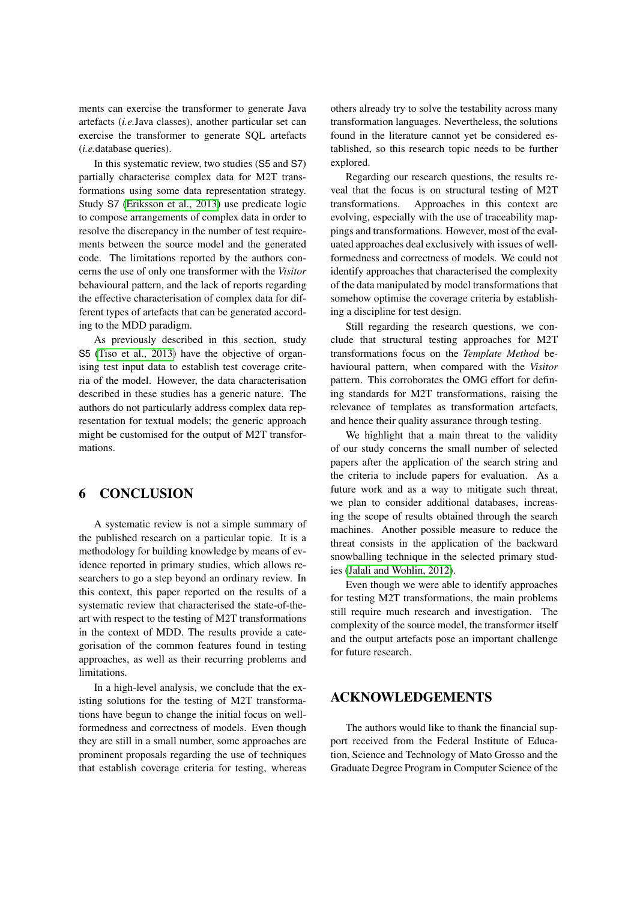ments can exercise the transformer to generate Java artefacts (*i.e.*Java classes), another particular set can exercise the transformer to generate SQL artefacts (*i.e.*database queries).

In this systematic review, two studies (S5 and S7) partially characterise complex data for M2T transformations using some data representation strategy. Study S7 [\(Eriksson et al., 2013\)](#page-10-17) use predicate logic to compose arrangements of complex data in order to resolve the discrepancy in the number of test requirements between the source model and the generated code. The limitations reported by the authors concerns the use of only one transformer with the *Visitor* behavioural pattern, and the lack of reports regarding the effective characterisation of complex data for different types of artefacts that can be generated according to the MDD paradigm.

As previously described in this section, study S5 [\(Tiso et al., 2013\)](#page-11-14) have the objective of organising test input data to establish test coverage criteria of the model. However, the data characterisation described in these studies has a generic nature. The authors do not particularly address complex data representation for textual models; the generic approach might be customised for the output of M2T transformations.

# <span id="page-9-0"></span>6 CONCLUSION

A systematic review is not a simple summary of the published research on a particular topic. It is a methodology for building knowledge by means of evidence reported in primary studies, which allows researchers to go a step beyond an ordinary review. In this context, this paper reported on the results of a systematic review that characterised the state-of-theart with respect to the testing of M2T transformations in the context of MDD. The results provide a categorisation of the common features found in testing approaches, as well as their recurring problems and limitations.

In a high-level analysis, we conclude that the existing solutions for the testing of M2T transformations have begun to change the initial focus on wellformedness and correctness of models. Even though they are still in a small number, some approaches are prominent proposals regarding the use of techniques that establish coverage criteria for testing, whereas

others already try to solve the testability across many transformation languages. Nevertheless, the solutions found in the literature cannot yet be considered established, so this research topic needs to be further explored.

Regarding our research questions, the results reveal that the focus is on structural testing of M2T transformations. Approaches in this context are evolving, especially with the use of traceability mappings and transformations. However, most of the evaluated approaches deal exclusively with issues of wellformedness and correctness of models. We could not identify approaches that characterised the complexity of the data manipulated by model transformations that somehow optimise the coverage criteria by establishing a discipline for test design.

Still regarding the research questions, we conclude that structural testing approaches for M2T transformations focus on the *Template Method* behavioural pattern, when compared with the *Visitor* pattern. This corroborates the OMG effort for defining standards for M2T transformations, raising the relevance of templates as transformation artefacts, and hence their quality assurance through testing.

We highlight that a main threat to the validity of our study concerns the small number of selected papers after the application of the search string and the criteria to include papers for evaluation. As a future work and as a way to mitigate such threat, we plan to consider additional databases, increasing the scope of results obtained through the search machines. Another possible measure to reduce the threat consists in the application of the backward snowballing technique in the selected primary studies [\(Jalali and Wohlin, 2012\)](#page-10-21).

Even though we were able to identify approaches for testing M2T transformations, the main problems still require much research and investigation. The complexity of the source model, the transformer itself and the output artefacts pose an important challenge for future research.

## ACKNOWLEDGEMENTS

The authors would like to thank the financial support received from the Federal Institute of Education, Science and Technology of Mato Grosso and the Graduate Degree Program in Computer Science of the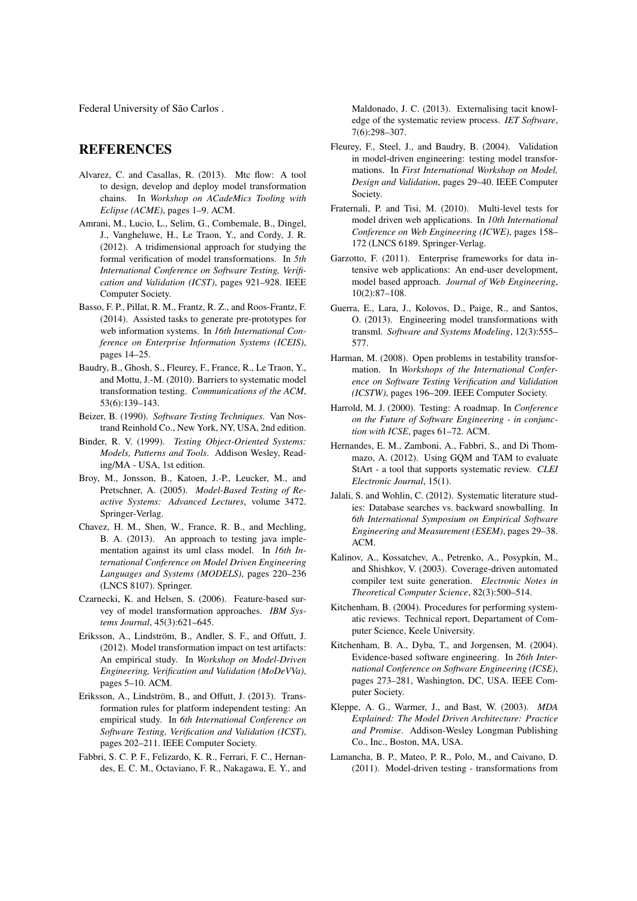Federal University of São Carlos.

# **REFERENCES**

- <span id="page-10-18"></span>Alvarez, C. and Casallas, R. (2013). Mtc flow: A tool to design, develop and deploy model transformation chains. In *Workshop on ACadeMics Tooling with Eclipse (ACME)*, pages 1–9. ACM.
- <span id="page-10-7"></span>Amrani, M., Lucio, L., Selim, G., Combemale, B., Dingel, J., Vangheluwe, H., Le Traon, Y., and Cordy, J. R. (2012). A tridimensional approach for studying the formal verification of model transformations. In *5th International Conference on Software Testing, Verification and Validation (ICST)*, pages 921–928. IEEE Computer Society.
- <span id="page-10-0"></span>Basso, F. P., Pillat, R. M., Frantz, R. Z., and Roos-Frantz, F. (2014). Assisted tasks to generate pre-prototypes for web information systems. In *16th International Conference on Enterprise Information Systems (ICEIS)*, pages 14–25.
- <span id="page-10-14"></span>Baudry, B., Ghosh, S., Fleurey, F., France, R., Le Traon, Y., and Mottu, J.-M. (2010). Barriers to systematic model transformation testing. *Communications of the ACM*, 53(6):139–143.
- <span id="page-10-3"></span>Beizer, B. (1990). *Software Testing Techniques*. Van Nostrand Reinhold Co., New York, NY, USA, 2nd edition.
- <span id="page-10-4"></span>Binder, R. V. (1999). *Testing Object-Oriented Systems: Models, Patterns and Tools*. Addison Wesley, Reading/MA - USA, 1st edition.
- <span id="page-10-20"></span>Broy, M., Jonsson, B., Katoen, J.-P., Leucker, M., and Pretschner, A. (2005). *Model-Based Testing of Reactive Systems: Advanced Lectures*, volume 3472. Springer-Verlag.
- <span id="page-10-16"></span>Chavez, H. M., Shen, W., France, R. B., and Mechling, B. A. (2013). An approach to testing java implementation against its uml class model. In *16th International Conference on Model Driven Engineering Languages and Systems (MODELS)*, pages 220–236 (LNCS 8107). Springer.
- Czarnecki, K. and Helsen, S. (2006). Feature-based survey of model transformation approaches. *IBM Systems Journal*, 45(3):621–645.
- <span id="page-10-19"></span>Eriksson, A., Lindström, B., Andler, S. F., and Offutt, J. (2012). Model transformation impact on test artifacts: An empirical study. In *Workshop on Model-Driven Engineering, Verification and Validation (MoDeVVa)*, pages 5–10. ACM.
- <span id="page-10-17"></span>Eriksson, A., Lindström, B., and Offutt, J. (2013). Transformation rules for platform independent testing: An empirical study. In *6th International Conference on Software Testing, Verification and Validation (ICST)*, pages 202–211. IEEE Computer Society.
- <span id="page-10-9"></span>Fabbri, S. C. P. F., Felizardo, K. R., Ferrari, F. C., Hernandes, E. C. M., Octaviano, F. R., Nakagawa, E. Y., and

Maldonado, J. C. (2013). Externalising tacit knowledge of the systematic review process. *IET Software*, 7(6):298–307.

- Fleurey, F., Steel, J., and Baudry, B. (2004). Validation in model-driven engineering: testing model transformations. In *First International Workshop on Model, Design and Validation*, pages 29–40. IEEE Computer Society.
- <span id="page-10-5"></span>Fraternali, P. and Tisi, M. (2010). Multi-level tests for model driven web applications. In *10th International Conference on Web Engineering (ICWE)*, pages 158– 172 (LNCS 6189. Springer-Verlag.
- <span id="page-10-1"></span>Garzotto, F. (2011). Enterprise frameworks for data intensive web applications: An end-user development, model based approach. *Journal of Web Engineering*, 10(2):87–108.
- <span id="page-10-2"></span>Guerra, E., Lara, J., Kolovos, D., Paige, R., and Santos, O. (2013). Engineering model transformations with transml. *Software and Systems Modeling*, 12(3):555– 577.
- Harman, M. (2008). Open problems in testability transformation. In *Workshops of the International Conference on Software Testing Verification and Validation (ICSTW)*, pages 196–209. IEEE Computer Society.
- <span id="page-10-11"></span>Harrold, M. J. (2000). Testing: A roadmap. In *Conference on the Future of Software Engineering - in conjunction with ICSE*, pages 61–72. ACM.
- <span id="page-10-13"></span>Hernandes, E. M., Zamboni, A., Fabbri, S., and Di Thommazo, A. (2012). Using GQM and TAM to evaluate StArt - a tool that supports systematic review. *CLEI Electronic Journal*, 15(1).
- <span id="page-10-21"></span>Jalali, S. and Wohlin, C. (2012). Systematic literature studies: Database searches vs. backward snowballing. In *6th International Symposium on Empirical Software Engineering and Measurement (ESEM)*, pages 29–38. ACM.
- <span id="page-10-6"></span>Kalinov, A., Kossatchev, A., Petrenko, A., Posypkin, M., and Shishkov, V. (2003). Coverage-driven automated compiler test suite generation. *Electronic Notes in Theoretical Computer Science*, 82(3):500–514.
- <span id="page-10-8"></span>Kitchenham, B. (2004). Procedures for performing systematic reviews. Technical report, Departament of Computer Science, Keele University.
- <span id="page-10-12"></span>Kitchenham, B. A., Dyba, T., and Jorgensen, M. (2004). Evidence-based software engineering. In *26th International Conference on Software Engineering (ICSE)*, pages 273–281, Washington, DC, USA. IEEE Computer Society.
- <span id="page-10-10"></span>Kleppe, A. G., Warmer, J., and Bast, W. (2003). *MDA Explained: The Model Driven Architecture: Practice and Promise*. Addison-Wesley Longman Publishing Co., Inc., Boston, MA, USA.
- <span id="page-10-15"></span>Lamancha, B. P., Mateo, P. R., Polo, M., and Caivano, D. (2011). Model-driven testing - transformations from